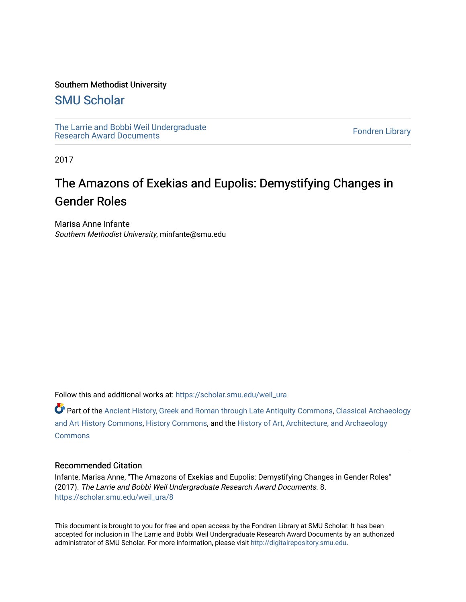### Southern Methodist University

### [SMU Scholar](https://scholar.smu.edu/)

[The Larrie and Bobbi Weil Undergraduate](https://scholar.smu.edu/weil_ura) The Lattle and Bobbi wen Undergraduate<br>[Research Award Documents](https://scholar.smu.edu/weil_ura)

2017

# The Amazons of Exekias and Eupolis: Demystifying Changes in Gender Roles

Marisa Anne Infante Southern Methodist University, minfante@smu.edu

Follow this and additional works at: [https://scholar.smu.edu/weil\\_ura](https://scholar.smu.edu/weil_ura?utm_source=scholar.smu.edu%2Fweil_ura%2F8&utm_medium=PDF&utm_campaign=PDFCoverPages)

Part of the [Ancient History, Greek and Roman through Late Antiquity Commons](http://network.bepress.com/hgg/discipline/447?utm_source=scholar.smu.edu%2Fweil_ura%2F8&utm_medium=PDF&utm_campaign=PDFCoverPages), [Classical Archaeology](http://network.bepress.com/hgg/discipline/450?utm_source=scholar.smu.edu%2Fweil_ura%2F8&utm_medium=PDF&utm_campaign=PDFCoverPages)  [and Art History Commons](http://network.bepress.com/hgg/discipline/450?utm_source=scholar.smu.edu%2Fweil_ura%2F8&utm_medium=PDF&utm_campaign=PDFCoverPages), [History Commons](http://network.bepress.com/hgg/discipline/489?utm_source=scholar.smu.edu%2Fweil_ura%2F8&utm_medium=PDF&utm_campaign=PDFCoverPages), and the [History of Art, Architecture, and Archaeology](http://network.bepress.com/hgg/discipline/510?utm_source=scholar.smu.edu%2Fweil_ura%2F8&utm_medium=PDF&utm_campaign=PDFCoverPages) **[Commons](http://network.bepress.com/hgg/discipline/510?utm_source=scholar.smu.edu%2Fweil_ura%2F8&utm_medium=PDF&utm_campaign=PDFCoverPages)** 

#### Recommended Citation

Infante, Marisa Anne, "The Amazons of Exekias and Eupolis: Demystifying Changes in Gender Roles" (2017). The Larrie and Bobbi Weil Undergraduate Research Award Documents. 8. [https://scholar.smu.edu/weil\\_ura/8](https://scholar.smu.edu/weil_ura/8?utm_source=scholar.smu.edu%2Fweil_ura%2F8&utm_medium=PDF&utm_campaign=PDFCoverPages) 

This document is brought to you for free and open access by the Fondren Library at SMU Scholar. It has been accepted for inclusion in The Larrie and Bobbi Weil Undergraduate Research Award Documents by an authorized administrator of SMU Scholar. For more information, please visit [http://digitalrepository.smu.edu](http://digitalrepository.smu.edu/).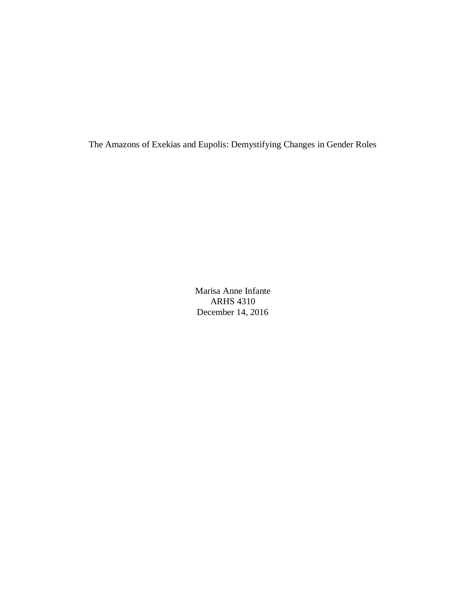The Amazons of Exekias and Eupolis: Demystifying Changes in Gender Roles

Marisa Anne Infante ARHS 4310 December 14, 2016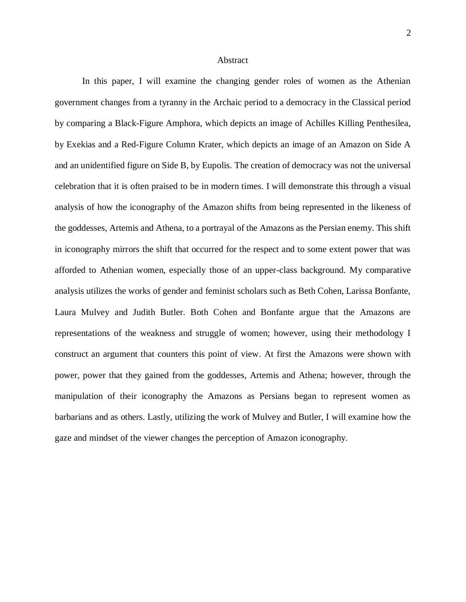#### **Abstract**

In this paper, I will examine the changing gender roles of women as the Athenian government changes from a tyranny in the Archaic period to a democracy in the Classical period by comparing a Black-Figure Amphora, which depicts an image of Achilles Killing Penthesilea, by Exekias and a Red-Figure Column Krater, which depicts an image of an Amazon on Side A and an unidentified figure on Side B, by Eupolis. The creation of democracy was not the universal celebration that it is often praised to be in modern times. I will demonstrate this through a visual analysis of how the iconography of the Amazon shifts from being represented in the likeness of the goddesses, Artemis and Athena, to a portrayal of the Amazons as the Persian enemy. This shift in iconography mirrors the shift that occurred for the respect and to some extent power that was afforded to Athenian women, especially those of an upper-class background. My comparative analysis utilizes the works of gender and feminist scholars such as Beth Cohen, Larissa Bonfante, Laura Mulvey and Judith Butler. Both Cohen and Bonfante argue that the Amazons are representations of the weakness and struggle of women; however, using their methodology I construct an argument that counters this point of view. At first the Amazons were shown with power, power that they gained from the goddesses, Artemis and Athena; however, through the manipulation of their iconography the Amazons as Persians began to represent women as barbarians and as others. Lastly, utilizing the work of Mulvey and Butler, I will examine how the gaze and mindset of the viewer changes the perception of Amazon iconography.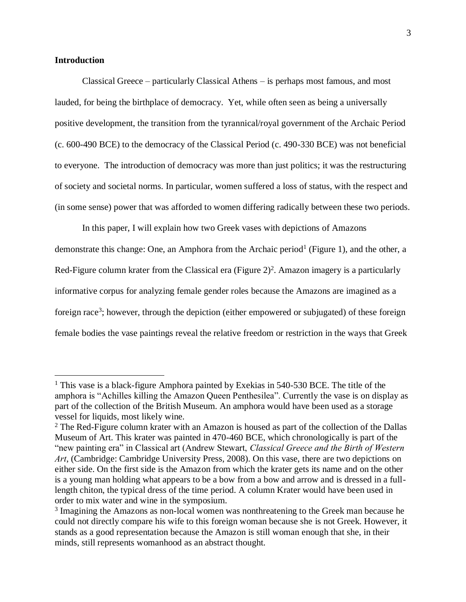#### **Introduction**

 $\overline{a}$ 

Classical Greece – particularly Classical Athens – is perhaps most famous, and most lauded, for being the birthplace of democracy. Yet, while often seen as being a universally positive development, the transition from the tyrannical/royal government of the Archaic Period (c. 600-490 BCE) to the democracy of the Classical Period (c. 490-330 BCE) was not beneficial to everyone. The introduction of democracy was more than just politics; it was the restructuring of society and societal norms. In particular, women suffered a loss of status, with the respect and (in some sense) power that was afforded to women differing radically between these two periods.

In this paper, I will explain how two Greek vases with depictions of Amazons demonstrate this change: One, an Amphora from the Archaic period<sup>1</sup> (Figure 1), and the other, a Red-Figure column krater from the Classical era (Figure 2)<sup>2</sup>. Amazon imagery is a particularly informative corpus for analyzing female gender roles because the Amazons are imagined as a foreign race<sup>3</sup>; however, through the depiction (either empowered or subjugated) of these foreign female bodies the vase paintings reveal the relative freedom or restriction in the ways that Greek

<sup>&</sup>lt;sup>1</sup> This vase is a black-figure Amphora painted by Exekias in 540-530 BCE. The title of the amphora is "Achilles killing the Amazon Queen Penthesilea". Currently the vase is on display as part of the collection of the British Museum. An amphora would have been used as a storage vessel for liquids, most likely wine.

<sup>&</sup>lt;sup>2</sup> The Red-Figure column krater with an Amazon is housed as part of the collection of the Dallas Museum of Art. This krater was painted in 470-460 BCE, which chronologically is part of the "new painting era" in Classical art (Andrew Stewart, *Classical Greece and the Birth of Western Art*, (Cambridge: Cambridge University Press, 2008). On this vase, there are two depictions on either side. On the first side is the Amazon from which the krater gets its name and on the other is a young man holding what appears to be a bow from a bow and arrow and is dressed in a fulllength chiton, the typical dress of the time period. A column Krater would have been used in order to mix water and wine in the symposium.

<sup>&</sup>lt;sup>3</sup> Imagining the Amazons as non-local women was nonthreatening to the Greek man because he could not directly compare his wife to this foreign woman because she is not Greek. However, it stands as a good representation because the Amazon is still woman enough that she, in their minds, still represents womanhood as an abstract thought.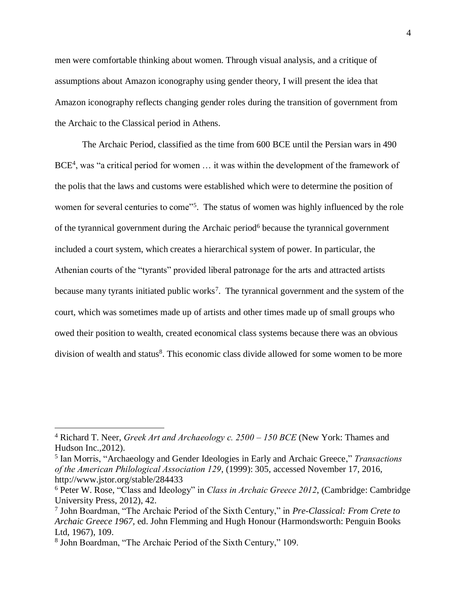men were comfortable thinking about women. Through visual analysis, and a critique of assumptions about Amazon iconography using gender theory, I will present the idea that Amazon iconography reflects changing gender roles during the transition of government from the Archaic to the Classical period in Athens.

The Archaic Period, classified as the time from 600 BCE until the Persian wars in 490 BCE<sup>4</sup>, was "a critical period for women ... it was within the development of the framework of the polis that the laws and customs were established which were to determine the position of women for several centuries to come"<sup>5</sup>. The status of women was highly influenced by the role of the tyrannical government during the Archaic period<sup>6</sup> because the tyrannical government included a court system, which creates a hierarchical system of power. In particular, the Athenian courts of the "tyrants" provided liberal patronage for the arts and attracted artists because many tyrants initiated public works<sup>7</sup>. The tyrannical government and the system of the court, which was sometimes made up of artists and other times made up of small groups who owed their position to wealth, created economical class systems because there was an obvious division of wealth and status<sup>8</sup>. This economic class divide allowed for some women to be more

<sup>4</sup> Richard T. Neer, *Greek Art and Archaeology c. 2500 – 150 BCE* (New York: Thames and Hudson Inc.,2012).

<sup>5</sup> Ian Morris, "Archaeology and Gender Ideologies in Early and Archaic Greece," *Transactions of the American Philological Association 129*, (1999): 305, accessed November 17, 2016, http://www.jstor.org/stable/284433

<sup>6</sup> Peter W. Rose, "Class and Ideology" in *Class in Archaic Greece 2012*, (Cambridge: Cambridge University Press, 2012), 42.

<sup>7</sup> John Boardman, "The Archaic Period of the Sixth Century," in *Pre-Classical: From Crete to Archaic Greece 1967,* ed. John Flemming and Hugh Honour (Harmondsworth: Penguin Books Ltd, 1967), 109.

<sup>8</sup> John Boardman, "The Archaic Period of the Sixth Century," 109.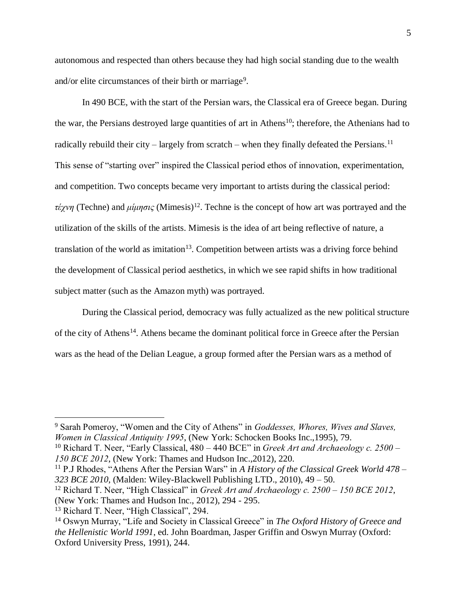autonomous and respected than others because they had high social standing due to the wealth and/or elite circumstances of their birth or marriage<sup>9</sup>.

In 490 BCE, with the start of the Persian wars, the Classical era of Greece began. During the war, the Persians destroyed large quantities of art in Athens<sup>10</sup>; therefore, the Athenians had to radically rebuild their city – largely from scratch – when they finally defeated the Persians.<sup>11</sup> This sense of "starting over" inspired the Classical period ethos of innovation, experimentation, and competition. Two concepts became very important to artists during the classical period: *τέχνη* (Techne) and *μίμησις* (Mimesis)<sup>12</sup>. Techne is the concept of how art was portrayed and the utilization of the skills of the artists. Mimesis is the idea of art being reflective of nature, a translation of the world as imitation<sup>13</sup>. Competition between artists was a driving force behind the development of Classical period aesthetics, in which we see rapid shifts in how traditional subject matter (such as the Amazon myth) was portrayed.

During the Classical period, democracy was fully actualized as the new political structure of the city of Athens<sup>14</sup>. Athens became the dominant political force in Greece after the Persian wars as the head of the Delian League, a group formed after the Persian wars as a method of

<sup>9</sup> Sarah Pomeroy, "Women and the City of Athens" in *Goddesses, Whores, Wives and Slaves, Women in Classical Antiquity 1995*, (New York: Schocken Books Inc.,1995), 79.

<sup>10</sup> Richard T. Neer, "Early Classical, 480 – 440 BCE" in *Greek Art and Archaeology c. 2500 – 150 BCE 2012*, (New York: Thames and Hudson Inc.,2012), 220.

<sup>11</sup> P.J Rhodes, "Athens After the Persian Wars" in *A History of the Classical Greek World 478 – 323 BCE 2010*, (Malden: Wiley-Blackwell Publishing LTD., 2010), 49 – 50.

<sup>12</sup> Richard T. Neer, "High Classical" in *Greek Art and Archaeology c. 2500 – 150 BCE 2012*, (New York: Thames and Hudson Inc., 2012), 294 - 295.

<sup>13</sup> Richard T. Neer, "High Classical", 294.

<sup>14</sup> Oswyn Murray, "Life and Society in Classical Greece" in *The Oxford History of Greece and the Hellenistic World 1991*, ed. John Boardman, Jasper Griffin and Oswyn Murray (Oxford: Oxford University Press, 1991), 244.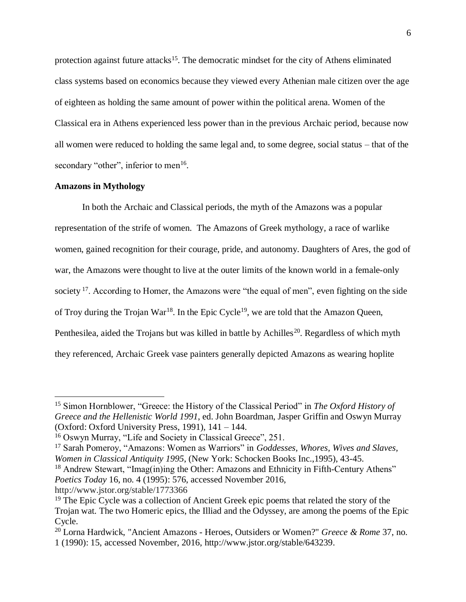protection against future attacks<sup>15</sup>. The democratic mindset for the city of Athens eliminated class systems based on economics because they viewed every Athenian male citizen over the age of eighteen as holding the same amount of power within the political arena. Women of the Classical era in Athens experienced less power than in the previous Archaic period, because now all women were reduced to holding the same legal and, to some degree, social status – that of the secondary "other", inferior to men<sup>16</sup>.

#### **Amazons in Mythology**

 $\overline{a}$ 

In both the Archaic and Classical periods, the myth of the Amazons was a popular representation of the strife of women. The Amazons of Greek mythology, a race of warlike women, gained recognition for their courage, pride, and autonomy. Daughters of Ares, the god of war, the Amazons were thought to live at the outer limits of the known world in a female-only society  $17$ . According to Homer, the Amazons were "the equal of men", even fighting on the side of Troy during the Trojan War<sup>18</sup>. In the Epic Cycle<sup>19</sup>, we are told that the Amazon Queen, Penthesilea, aided the Trojans but was killed in battle by Achilles<sup>20</sup>. Regardless of which myth they referenced, Archaic Greek vase painters generally depicted Amazons as wearing hoplite

<sup>15</sup> Simon Hornblower, "Greece: the History of the Classical Period" in *The Oxford History of Greece and the Hellenistic World 1991*, ed. John Boardman, Jasper Griffin and Oswyn Murray (Oxford: Oxford University Press, 1991), 141 – 144.

<sup>16</sup> Oswyn Murray, "Life and Society in Classical Greece", 251.

<sup>17</sup> Sarah Pomeroy, "Amazons: Women as Warriors" in *Goddesses, Whores, Wives and Slaves, Women in Classical Antiquity 1995*, (New York: Schocken Books Inc.,1995), 43-45.

<sup>&</sup>lt;sup>18</sup> Andrew Stewart, "Imag(in)ing the Other: Amazons and Ethnicity in Fifth-Century Athens" *Poetics Today* 16, no. 4 (1995): 576, accessed November 2016, http://www.jstor.org/stable/1773366

<sup>&</sup>lt;sup>19</sup> The Epic Cycle was a collection of Ancient Greek epic poems that related the story of the Trojan wat. The two Homeric epics, the Illiad and the Odyssey, are among the poems of the Epic Cycle.

<sup>20</sup> Lorna Hardwick, "Ancient Amazons - Heroes, Outsiders or Women?" *Greece & Rome* 37, no. 1 (1990): 15, accessed November, 2016, http://www.jstor.org/stable/643239.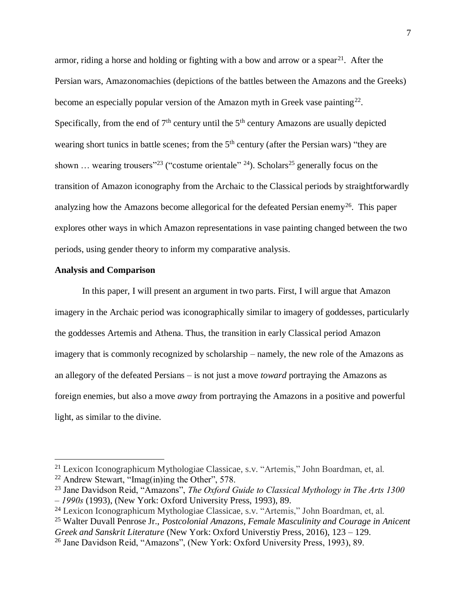armor, riding a horse and holding or fighting with a bow and arrow or a spear<sup>21</sup>. After the Persian wars, Amazonomachies (depictions of the battles between the Amazons and the Greeks) become an especially popular version of the Amazon myth in Greek vase painting<sup>22</sup>. Specifically, from the end of  $7<sup>th</sup>$  century until the  $5<sup>th</sup>$  century Amazons are usually depicted wearing short tunics in battle scenes; from the 5<sup>th</sup> century (after the Persian wars) "they are shown ... wearing trousers"<sup>23</sup> ("costume orientale" <sup>24</sup>). Scholars<sup>25</sup> generally focus on the transition of Amazon iconography from the Archaic to the Classical periods by straightforwardly analyzing how the Amazons become allegorical for the defeated Persian enemy<sup>26</sup>. This paper explores other ways in which Amazon representations in vase painting changed between the two periods, using gender theory to inform my comparative analysis.

### **Analysis and Comparison**

 $\overline{a}$ 

In this paper, I will present an argument in two parts. First, I will argue that Amazon imagery in the Archaic period was iconographically similar to imagery of goddesses, particularly the goddesses Artemis and Athena. Thus, the transition in early Classical period Amazon imagery that is commonly recognized by scholarship – namely, the new role of the Amazons as an allegory of the defeated Persians – is not just a move *toward* portraying the Amazons as foreign enemies, but also a move *away* from portraying the Amazons in a positive and powerful light, as similar to the divine.

<sup>&</sup>lt;sup>21</sup> Lexicon Iconographicum Mythologiae Classicae, s.v. "Artemis," John Boardman, et, al.

<sup>22</sup> Andrew Stewart, "Imag(in)ing the Other", 578.

<sup>&</sup>lt;sup>23</sup> Jane Davidson Reid, "Amazons", *The Oxford Guide to Classical Mythology in The Arts 1300 – 1990s* (1993), (New York: Oxford University Press, 1993), 89.

<sup>24</sup> Lexicon Iconographicum Mythologiae Classicae, s.v. "Artemis," John Boardman, et, al.

<sup>25</sup> Walter Duvall Penrose Jr., *Postcolonial Amazons, Female Masculinity and Courage in Anicent* 

*Greek and Sanskrit Literature* (New York: Oxford Universtiy Press, 2016), 123 – 129.

<sup>26</sup> Jane Davidson Reid, "Amazons", (New York: Oxford University Press, 1993), 89.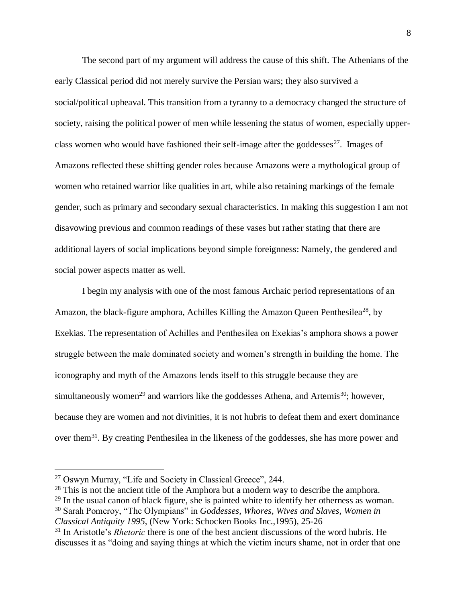The second part of my argument will address the cause of this shift. The Athenians of the early Classical period did not merely survive the Persian wars; they also survived a social/political upheaval. This transition from a tyranny to a democracy changed the structure of society, raising the political power of men while lessening the status of women, especially upperclass women who would have fashioned their self-image after the goddesses<sup>27</sup>. Images of Amazons reflected these shifting gender roles because Amazons were a mythological group of women who retained warrior like qualities in art, while also retaining markings of the female gender, such as primary and secondary sexual characteristics. In making this suggestion I am not disavowing previous and common readings of these vases but rather stating that there are additional layers of social implications beyond simple foreignness: Namely, the gendered and social power aspects matter as well.

I begin my analysis with one of the most famous Archaic period representations of an Amazon, the black-figure amphora, Achilles Killing the Amazon Queen Penthesilea<sup>28</sup>, by Exekias. The representation of Achilles and Penthesilea on Exekias's amphora shows a power struggle between the male dominated society and women's strength in building the home. The iconography and myth of the Amazons lends itself to this struggle because they are simultaneously women<sup>29</sup> and warriors like the goddesses Athena, and Artemis<sup>30</sup>; however, because they are women and not divinities, it is not hubris to defeat them and exert dominance over them<sup>31</sup>. By creating Penthesilea in the likeness of the goddesses, she has more power and

<sup>27</sup> Oswyn Murray, "Life and Society in Classical Greece", 244.

<sup>&</sup>lt;sup>28</sup> This is not the ancient title of the Amphora but a modern way to describe the amphora.

 $29$  In the usual canon of black figure, she is painted white to identify her otherness as woman.

<sup>30</sup> Sarah Pomeroy, "The Olympians" in *Goddesses, Whores, Wives and Slaves, Women in Classical Antiquity 1995*, (New York: Schocken Books Inc.,1995), 25-26

<sup>&</sup>lt;sup>31</sup> In Aristotle's *Rhetoric* there is one of the best ancient discussions of the word hubris. He discusses it as "doing and saying things at which the victim incurs shame, not in order that one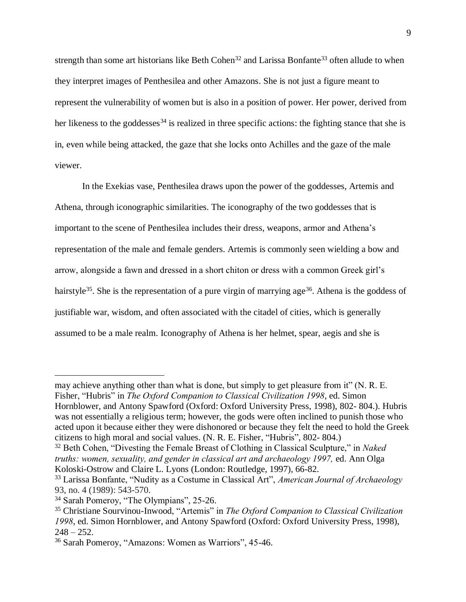strength than some art historians like Beth Cohen<sup>32</sup> and Larissa Bonfante<sup>33</sup> often allude to when they interpret images of Penthesilea and other Amazons. She is not just a figure meant to represent the vulnerability of women but is also in a position of power. Her power, derived from her likeness to the goddesses<sup>34</sup> is realized in three specific actions: the fighting stance that she is in, even while being attacked, the gaze that she locks onto Achilles and the gaze of the male viewer.

In the Exekias vase, Penthesilea draws upon the power of the goddesses, Artemis and Athena, through iconographic similarities. The iconography of the two goddesses that is important to the scene of Penthesilea includes their dress, weapons, armor and Athena's representation of the male and female genders. Artemis is commonly seen wielding a bow and arrow, alongside a fawn and dressed in a short chiton or dress with a common Greek girl's hairstyle<sup>35</sup>. She is the representation of a pure virgin of marrying age<sup>36</sup>. Athena is the goddess of justifiable war, wisdom, and often associated with the citadel of cities, which is generally assumed to be a male realm. Iconography of Athena is her helmet, spear, aegis and she is

may achieve anything other than what is done, but simply to get pleasure from it" (N. R. E. Fisher, "Hubris" in *The Oxford Companion to Classical Civilization 1998*, ed. Simon Hornblower, and Antony Spawford (Oxford: Oxford University Press, 1998), 802- 804.). Hubris was not essentially a religious term; however, the gods were often inclined to punish those who acted upon it because either they were dishonored or because they felt the need to hold the Greek citizens to high moral and social values. (N. R. E. Fisher, "Hubris", 802- 804.)

<sup>32</sup> Beth Cohen, "Divesting the Female Breast of Clothing in Classical Sculpture," in *Naked truths: women, sexuality, and gender in classical art and archaeology 1997, ed. Ann Olga* Koloski-Ostrow and Claire L. Lyons (London: Routledge, 1997), 66-82.

<sup>33</sup> Larissa Bonfante, "Nudity as a Costume in Classical Art", *American Journal of Archaeology* 93, no. 4 (1989): 543-570.

<sup>34</sup> Sarah Pomeroy, "The Olympians", 25-26.

<sup>35</sup> Christiane Sourvinou-Inwood, "Artemis" in *The Oxford Companion to Classical Civilization 1998*, ed. Simon Hornblower, and Antony Spawford (Oxford: Oxford University Press, 1998),  $248 - 252$ .

<sup>36</sup> Sarah Pomeroy, "Amazons: Women as Warriors", 45-46.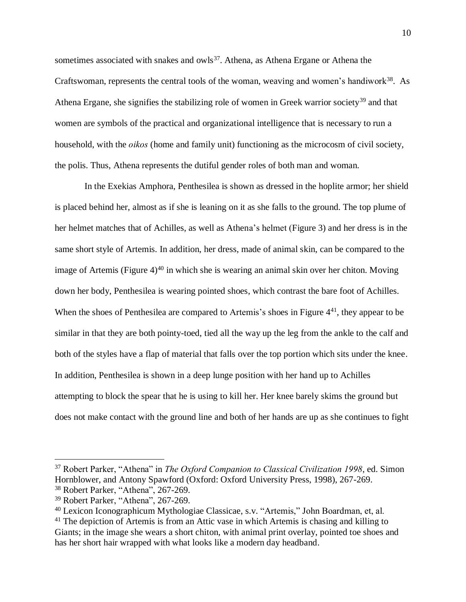sometimes associated with snakes and owls<sup>37</sup>. Athena, as Athena Ergane or Athena the Craftswoman, represents the central tools of the woman, weaving and women's handiwork $38$ . As Athena Ergane, she signifies the stabilizing role of women in Greek warrior society<sup>39</sup> and that women are symbols of the practical and organizational intelligence that is necessary to run a household, with the *oikos* (home and family unit) functioning as the microcosm of civil society, the polis. Thus, Athena represents the dutiful gender roles of both man and woman.

In the Exekias Amphora, Penthesilea is shown as dressed in the hoplite armor; her shield is placed behind her, almost as if she is leaning on it as she falls to the ground. The top plume of her helmet matches that of Achilles, as well as Athena's helmet (Figure 3) and her dress is in the same short style of Artemis. In addition, her dress, made of animal skin, can be compared to the image of Artemis (Figure  $4^{40}$  in which she is wearing an animal skin over her chiton. Moving down her body, Penthesilea is wearing pointed shoes, which contrast the bare foot of Achilles. When the shoes of Penthesilea are compared to Artemis's shoes in Figure  $4^{41}$ , they appear to be similar in that they are both pointy-toed, tied all the way up the leg from the ankle to the calf and both of the styles have a flap of material that falls over the top portion which sits under the knee. In addition, Penthesilea is shown in a deep lunge position with her hand up to Achilles attempting to block the spear that he is using to kill her. Her knee barely skims the ground but does not make contact with the ground line and both of her hands are up as she continues to fight

<sup>37</sup> Robert Parker, "Athena" in *The Oxford Companion to Classical Civilization 1998*, ed. Simon Hornblower, and Antony Spawford (Oxford: Oxford University Press, 1998), 267-269.

<sup>38</sup> Robert Parker, "Athena", 267-269.

<sup>39</sup> Robert Parker, "Athena", 267-269.

<sup>40</sup> Lexicon Iconographicum Mythologiae Classicae, s.v. "Artemis," John Boardman, et, al.

 $41$  The depiction of Artemis is from an Attic vase in which Artemis is chasing and killing to Giants; in the image she wears a short chiton, with animal print overlay, pointed toe shoes and has her short hair wrapped with what looks like a modern day headband.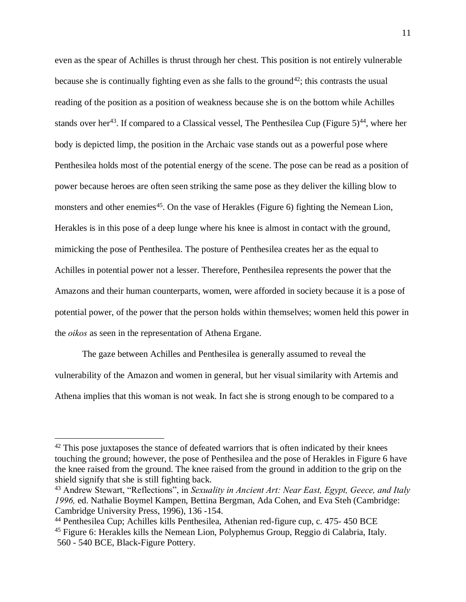even as the spear of Achilles is thrust through her chest. This position is not entirely vulnerable because she is continually fighting even as she falls to the ground<sup>42</sup>; this contrasts the usual reading of the position as a position of weakness because she is on the bottom while Achilles stands over her<sup>43</sup>. If compared to a Classical vessel, The Penthesilea Cup (Figure  $5)^{44}$ , where her body is depicted limp, the position in the Archaic vase stands out as a powerful pose where Penthesilea holds most of the potential energy of the scene. The pose can be read as a position of power because heroes are often seen striking the same pose as they deliver the killing blow to monsters and other enemies<sup>45</sup>. On the vase of Herakles (Figure 6) fighting the Nemean Lion, Herakles is in this pose of a deep lunge where his knee is almost in contact with the ground, mimicking the pose of Penthesilea. The posture of Penthesilea creates her as the equal to Achilles in potential power not a lesser. Therefore, Penthesilea represents the power that the Amazons and their human counterparts, women, were afforded in society because it is a pose of potential power, of the power that the person holds within themselves; women held this power in the *oikos* as seen in the representation of Athena Ergane.

The gaze between Achilles and Penthesilea is generally assumed to reveal the vulnerability of the Amazon and women in general, but her visual similarity with Artemis and Athena implies that this woman is not weak. In fact she is strong enough to be compared to a

 $42$  This pose juxtaposes the stance of defeated warriors that is often indicated by their knees touching the ground; however, the pose of Penthesilea and the pose of Herakles in Figure 6 have the knee raised from the ground. The knee raised from the ground in addition to the grip on the shield signify that she is still fighting back.

<sup>43</sup> Andrew Stewart, "Reflections", in *Sexuality in Ancient Art: Near East, Egypt, Geece, and Italy 1996,* ed. Nathalie Boymel Kampen, Bettina Bergman, Ada Cohen, and Eva Steh (Cambridge: Cambridge University Press, 1996), 136 -154.

<sup>44</sup> Penthesilea Cup; Achilles kills Penthesilea, Athenian red-figure cup, c. 475- 450 BCE

<sup>45</sup> Figure 6: Herakles kills the Nemean Lion, Polyphemus Group, Reggio di Calabria, Italy. 560 - 540 BCE, Black-Figure Pottery.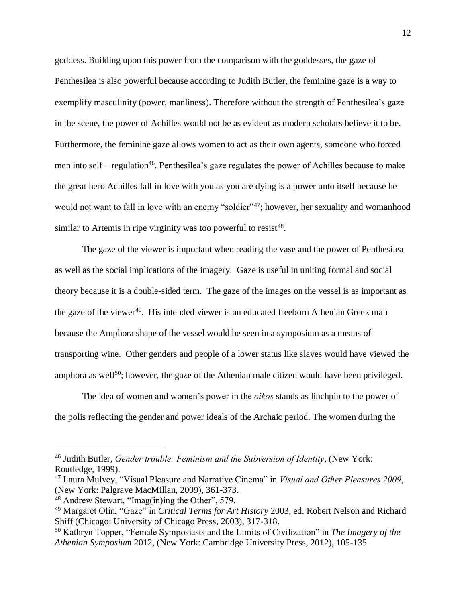goddess. Building upon this power from the comparison with the goddesses, the gaze of Penthesilea is also powerful because according to Judith Butler, the feminine gaze is a way to exemplify masculinity (power, manliness). Therefore without the strength of Penthesilea's gaze in the scene, the power of Achilles would not be as evident as modern scholars believe it to be. Furthermore, the feminine gaze allows women to act as their own agents, someone who forced men into self – regulation<sup>46</sup>. Penthesilea's gaze regulates the power of Achilles because to make the great hero Achilles fall in love with you as you are dying is a power unto itself because he would not want to fall in love with an enemy "soldier"<sup>47</sup>; however, her sexuality and womanhood similar to Artemis in ripe virginity was too powerful to resist<sup>48</sup>.

The gaze of the viewer is important when reading the vase and the power of Penthesilea as well as the social implications of the imagery. Gaze is useful in uniting formal and social theory because it is a double-sided term. The gaze of the images on the vessel is as important as the gaze of the viewer<sup>49</sup>. His intended viewer is an educated freeborn Athenian Greek man because the Amphora shape of the vessel would be seen in a symposium as a means of transporting wine. Other genders and people of a lower status like slaves would have viewed the amphora as well<sup>50</sup>; however, the gaze of the Athenian male citizen would have been privileged.

The idea of women and women's power in the *oikos* stands as linchpin to the power of the polis reflecting the gender and power ideals of the Archaic period. The women during the

<sup>46</sup> Judith Butler, *Gender trouble: Feminism and the Subversion of Identity*, (New York: Routledge, 1999).

<sup>47</sup> Laura Mulvey, "Visual Pleasure and Narrative Cinema" in *Visual and Other Pleasures 2009*, (New York: Palgrave MacMillan, 2009), 361-373.

<sup>48</sup> Andrew Stewart, "Imag(in)ing the Other", 579.

<sup>49</sup> Margaret Olin, "Gaze" in *Critical Terms for Art History* 2003, ed. Robert Nelson and Richard Shiff (Chicago: University of Chicago Press, 2003), 317-318.

<sup>50</sup> Kathryn Topper, "Female Symposiasts and the Limits of Civilization" in *The Imagery of the Athenian Symposium* 2012, (New York: Cambridge University Press, 2012), 105-135.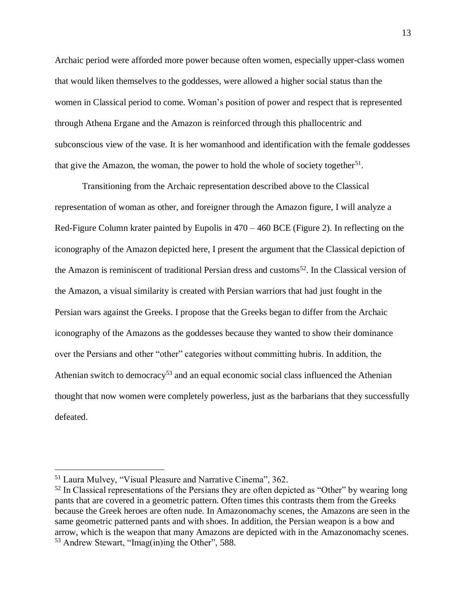Archaic period were afforded more power because often women, especially upper-class women that would liken themselves to the goddesses, were allowed a higher social status than the women in Classical period to come. Woman's position of power and respect that is represented through Athena Ergane and the Amazon is reinforced through this phallocentric and subconscious view of the vase. It is her womanhood and identification with the female goddesses that give the Amazon, the woman, the power to hold the whole of society together<sup>51</sup>.

Transitioning from the Archaic representation described above to the Classical representation of woman as other, and foreigner through the Amazon figure, I will analyze a Red-Figure Column krater painted by Eupolis in 470 – 460 BCE (Figure 2). In reflecting on the iconography of the Amazon depicted here, I present the argument that the Classical depiction of the Amazon is reminiscent of traditional Persian dress and customs<sup>52</sup>. In the Classical version of the Amazon, a visual similarity is created with Persian warriors that had just fought in the Persian wars against the Greeks. I propose that the Greeks began to differ from the Archaic iconography of the Amazons as the goddesses because they wanted to show their dominance over the Persians and other "other" categories without committing hubris. In addition, the Athenian switch to democracy<sup>53</sup> and an equal economic social class influenced the Athenian thought that now women were completely powerless, just as the barbarians that they successfully defeated.

<sup>51</sup> Laura Mulvey, "Visual Pleasure and Narrative Cinema", 362.

<sup>&</sup>lt;sup>52</sup> In Classical representations of the Persians they are often depicted as "Other" by wearing long pants that are covered in a geometric pattern. Often times this contrasts them from the Greeks because the Greek heroes are often nude. In Amazonomachy scenes, the Amazons are seen in the same geometric patterned pants and with shoes. In addition, the Persian weapon is a bow and arrow, which is the weapon that many Amazons are depicted with in the Amazonomachy scenes. <sup>53</sup> Andrew Stewart, "Imag(in)ing the Other", 588.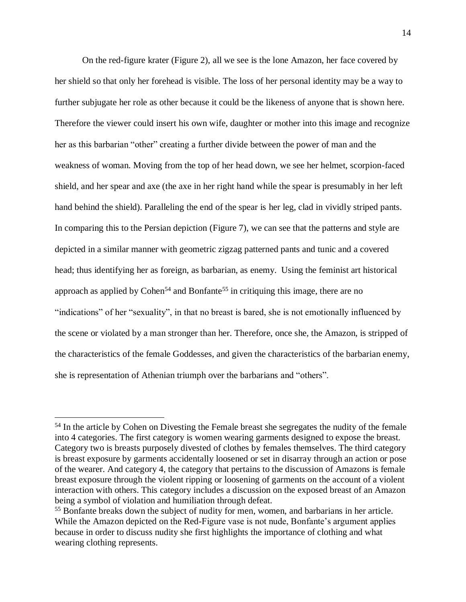On the red-figure krater (Figure 2), all we see is the lone Amazon, her face covered by her shield so that only her forehead is visible. The loss of her personal identity may be a way to further subjugate her role as other because it could be the likeness of anyone that is shown here. Therefore the viewer could insert his own wife, daughter or mother into this image and recognize her as this barbarian "other" creating a further divide between the power of man and the weakness of woman. Moving from the top of her head down, we see her helmet, scorpion-faced shield, and her spear and axe (the axe in her right hand while the spear is presumably in her left hand behind the shield). Paralleling the end of the spear is her leg, clad in vividly striped pants. In comparing this to the Persian depiction (Figure 7), we can see that the patterns and style are depicted in a similar manner with geometric zigzag patterned pants and tunic and a covered head; thus identifying her as foreign, as barbarian, as enemy. Using the feminist art historical approach as applied by Cohen<sup>54</sup> and Bonfante<sup>55</sup> in critiquing this image, there are no "indications" of her "sexuality", in that no breast is bared, she is not emotionally influenced by the scene or violated by a man stronger than her. Therefore, once she, the Amazon, is stripped of the characteristics of the female Goddesses, and given the characteristics of the barbarian enemy, she is representation of Athenian triumph over the barbarians and "others".

<sup>&</sup>lt;sup>54</sup> In the article by Cohen on Divesting the Female breast she segregates the nudity of the female into 4 categories. The first category is women wearing garments designed to expose the breast. Category two is breasts purposely divested of clothes by females themselves. The third category is breast exposure by garments accidentally loosened or set in disarray through an action or pose of the wearer. And category 4, the category that pertains to the discussion of Amazons is female breast exposure through the violent ripping or loosening of garments on the account of a violent interaction with others. This category includes a discussion on the exposed breast of an Amazon being a symbol of violation and humiliation through defeat.

<sup>55</sup> Bonfante breaks down the subject of nudity for men, women, and barbarians in her article. While the Amazon depicted on the Red-Figure vase is not nude, Bonfante's argument applies because in order to discuss nudity she first highlights the importance of clothing and what wearing clothing represents.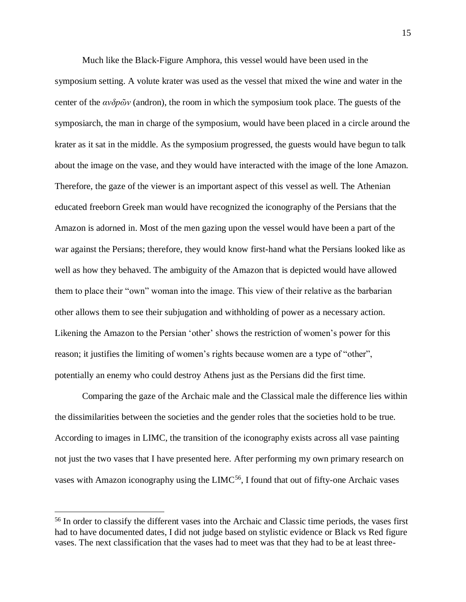Much like the Black-Figure Amphora, this vessel would have been used in the symposium setting. A volute krater was used as the vessel that mixed the wine and water in the center of the *ανδpῶν* (andron), the room in which the symposium took place. The guests of the symposiarch, the man in charge of the symposium, would have been placed in a circle around the krater as it sat in the middle. As the symposium progressed, the guests would have begun to talk about the image on the vase, and they would have interacted with the image of the lone Amazon. Therefore, the gaze of the viewer is an important aspect of this vessel as well. The Athenian educated freeborn Greek man would have recognized the iconography of the Persians that the Amazon is adorned in. Most of the men gazing upon the vessel would have been a part of the war against the Persians; therefore, they would know first-hand what the Persians looked like as well as how they behaved. The ambiguity of the Amazon that is depicted would have allowed them to place their "own" woman into the image. This view of their relative as the barbarian other allows them to see their subjugation and withholding of power as a necessary action. Likening the Amazon to the Persian 'other' shows the restriction of women's power for this reason; it justifies the limiting of women's rights because women are a type of "other", potentially an enemy who could destroy Athens just as the Persians did the first time.

Comparing the gaze of the Archaic male and the Classical male the difference lies within the dissimilarities between the societies and the gender roles that the societies hold to be true. According to images in LIMC, the transition of the iconography exists across all vase painting not just the two vases that I have presented here. After performing my own primary research on vases with Amazon iconography using the  $LIMC<sup>56</sup>$ , I found that out of fifty-one Archaic vases

<sup>56</sup> In order to classify the different vases into the Archaic and Classic time periods, the vases first had to have documented dates, I did not judge based on stylistic evidence or Black vs Red figure vases. The next classification that the vases had to meet was that they had to be at least three-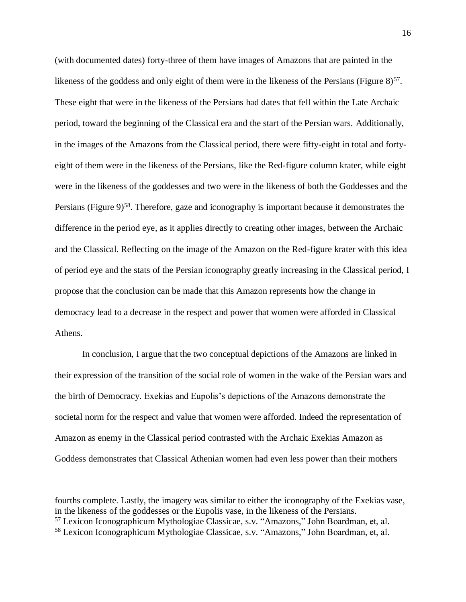(with documented dates) forty-three of them have images of Amazons that are painted in the likeness of the goddess and only eight of them were in the likeness of the Persians (Figure  $8$ )<sup>57</sup>. These eight that were in the likeness of the Persians had dates that fell within the Late Archaic period, toward the beginning of the Classical era and the start of the Persian wars. Additionally, in the images of the Amazons from the Classical period, there were fifty-eight in total and fortyeight of them were in the likeness of the Persians, like the Red-figure column krater, while eight were in the likeness of the goddesses and two were in the likeness of both the Goddesses and the Persians (Figure 9)<sup>58</sup>. Therefore, gaze and iconography is important because it demonstrates the difference in the period eye, as it applies directly to creating other images, between the Archaic and the Classical. Reflecting on the image of the Amazon on the Red-figure krater with this idea of period eye and the stats of the Persian iconography greatly increasing in the Classical period, I propose that the conclusion can be made that this Amazon represents how the change in democracy lead to a decrease in the respect and power that women were afforded in Classical Athens.

In conclusion, I argue that the two conceptual depictions of the Amazons are linked in their expression of the transition of the social role of women in the wake of the Persian wars and the birth of Democracy. Exekias and Eupolis's depictions of the Amazons demonstrate the societal norm for the respect and value that women were afforded. Indeed the representation of Amazon as enemy in the Classical period contrasted with the Archaic Exekias Amazon as Goddess demonstrates that Classical Athenian women had even less power than their mothers

fourths complete. Lastly, the imagery was similar to either the iconography of the Exekias vase, in the likeness of the goddesses or the Eupolis vase, in the likeness of the Persians.

<sup>57</sup> Lexicon Iconographicum Mythologiae Classicae, s.v. "Amazons," John Boardman, et, al.

<sup>58</sup> Lexicon Iconographicum Mythologiae Classicae, s.v. "Amazons," John Boardman, et, al.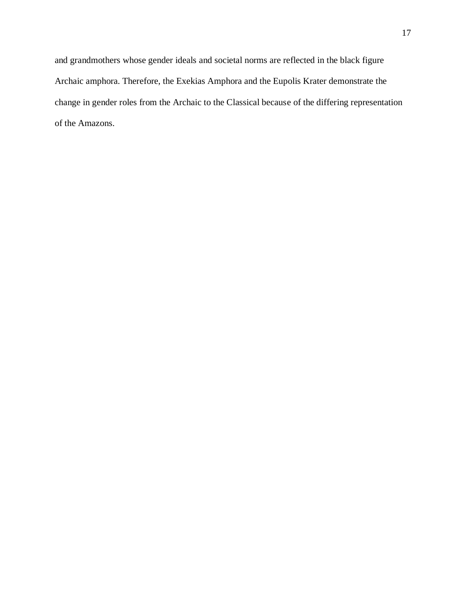and grandmothers whose gender ideals and societal norms are reflected in the black figure Archaic amphora. Therefore, the Exekias Amphora and the Eupolis Krater demonstrate the change in gender roles from the Archaic to the Classical because of the differing representation of the Amazons.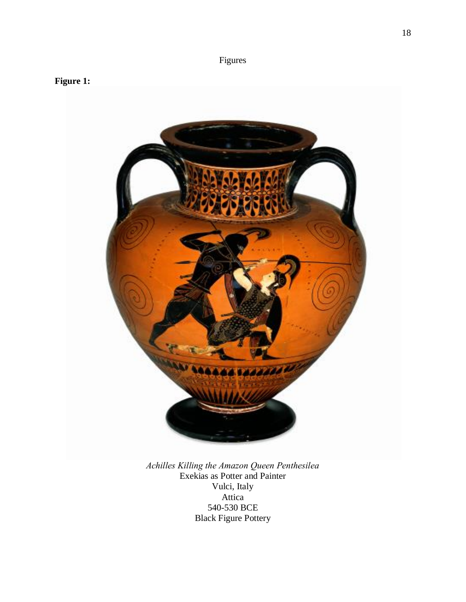## Figures





*Achilles Killing the Amazon Queen Penthesilea* Exekias as Potter and Painter Vulci, Italy Attica 540-530 BCE Black Figure Pottery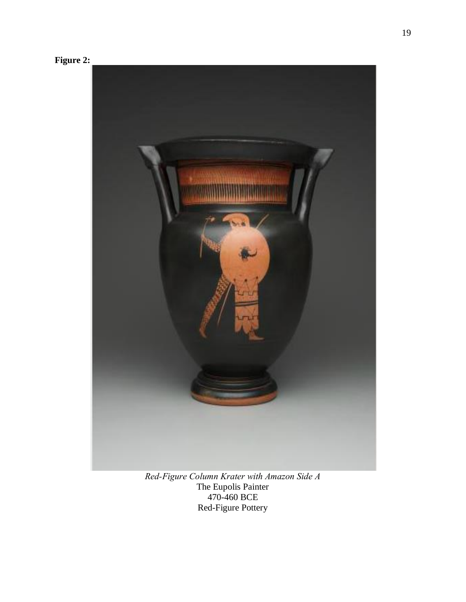



*Red-Figure Column Krater with Amazon Side A* The Eupolis Painter 470-460 BCE Red-Figure Pottery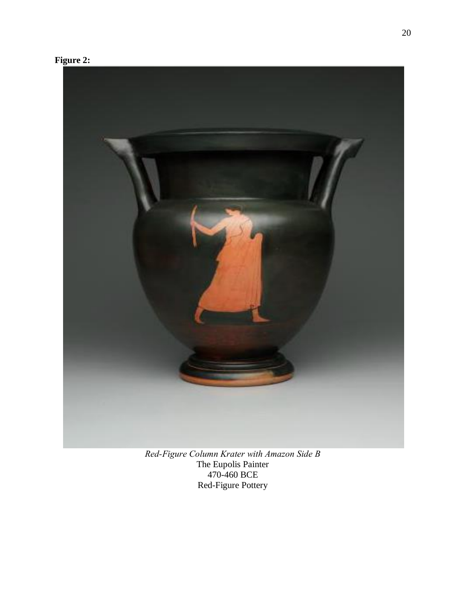



*Red-Figure Column Krater with Amazon Side B* The Eupolis Painter 470-460 BCE Red-Figure Pottery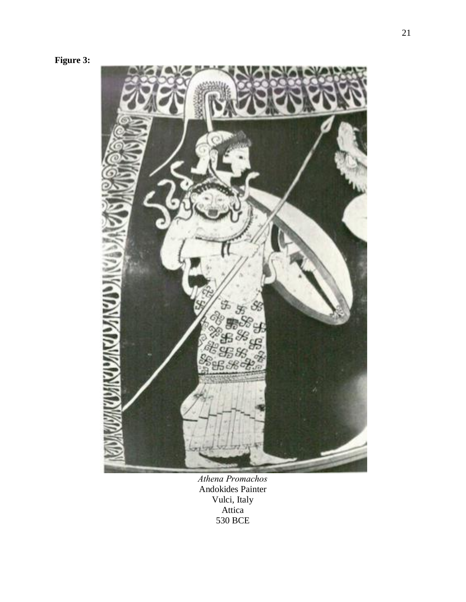



*Athena Promachos* Andokides Painter Vulci, Italy Attica 530 BCE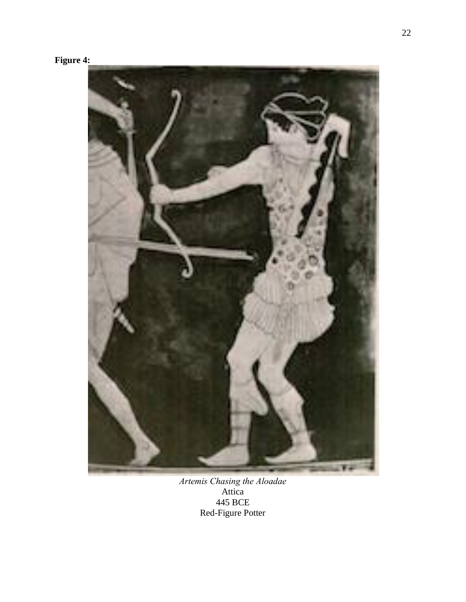# **Figure 4:**



*Artemis Chasing the Aloadae* Attica 445 BCE Red-Figure Potter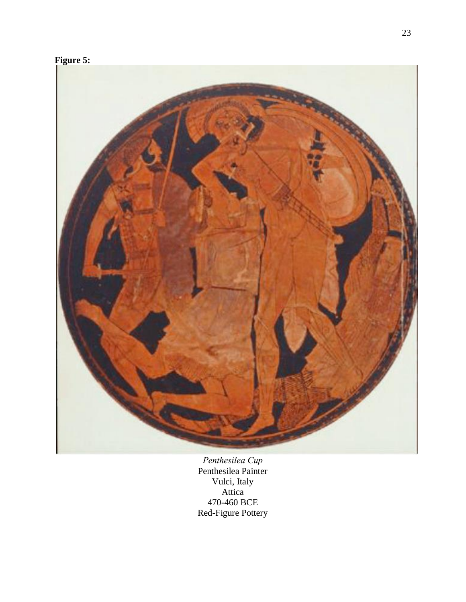



*Penthesilea Cup* Penthesilea Painter Vulci, Italy Attica 470-460 BCE Red-Figure Pottery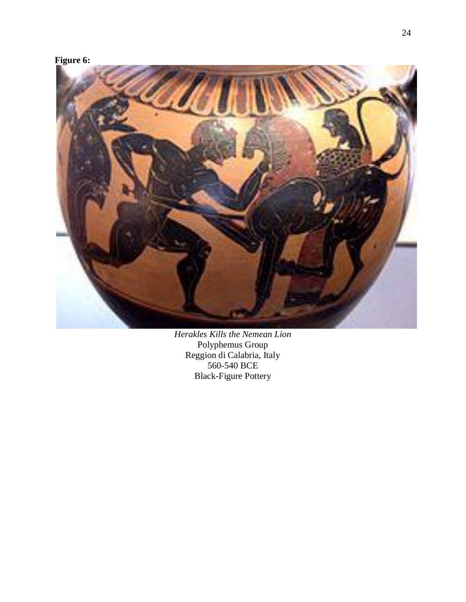## **Figure 6:**



*Herakles Kills the Nemean Lion* Polyphemus Group Reggion di Calabria, Italy 560-540 BCE Black-Figure Pottery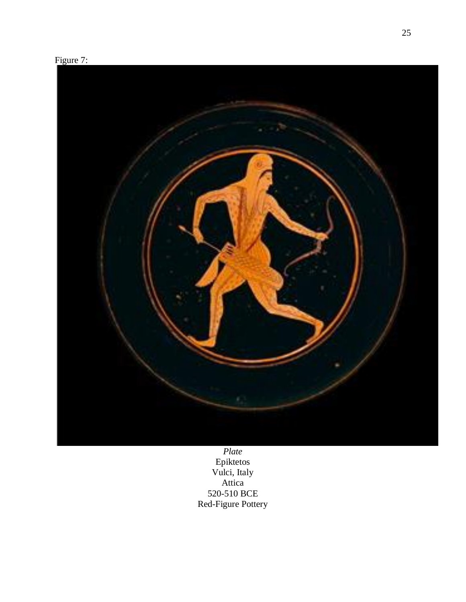



*Plate* Epiktetos Vulci, Italy Attica 520-510 BCE Red-Figure Pottery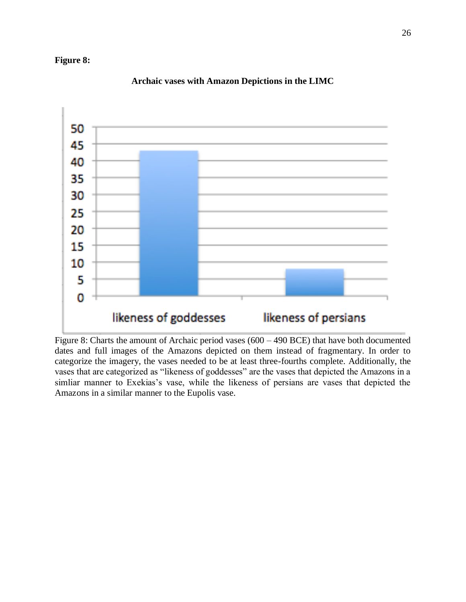### **Figure 8:**



### **Archaic vases with Amazon Depictions in the LIMC**

Figure 8: Charts the amount of Archaic period vases (600 – 490 BCE) that have both documented dates and full images of the Amazons depicted on them instead of fragmentary. In order to categorize the imagery, the vases needed to be at least three-fourths complete. Additionally, the vases that are categorized as "likeness of goddesses" are the vases that depicted the Amazons in a simliar manner to Exekias's vase, while the likeness of persians are vases that depicted the Amazons in a similar manner to the Eupolis vase.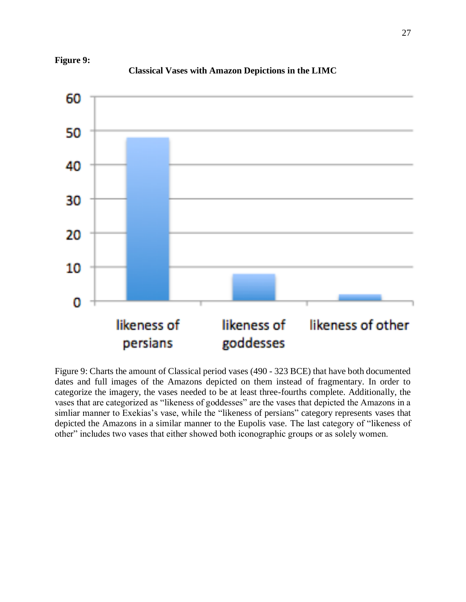

**Classical Vases with Amazon Depictions in the LIMC**



Figure 9: Charts the amount of Classical period vases (490 - 323 BCE) that have both documented dates and full images of the Amazons depicted on them instead of fragmentary. In order to categorize the imagery, the vases needed to be at least three-fourths complete. Additionally, the vases that are categorized as "likeness of goddesses" are the vases that depicted the Amazons in a simliar manner to Exekias's vase, while the "likeness of persians" category represents vases that depicted the Amazons in a similar manner to the Eupolis vase. The last category of "likeness of other" includes two vases that either showed both iconographic groups or as solely women.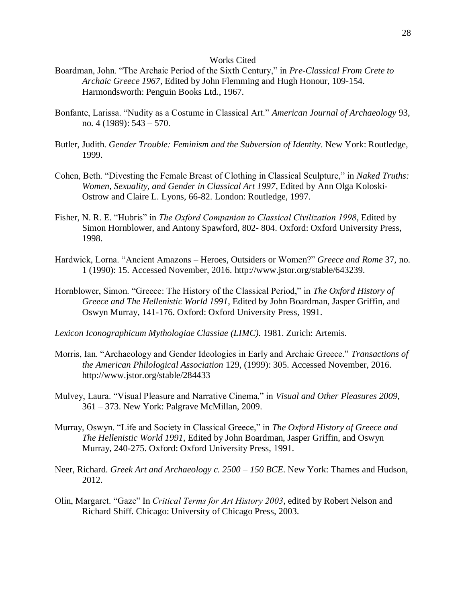#### Works Cited

- Boardman, John. "The Archaic Period of the Sixth Century," in *Pre-Classical From Crete to Archaic Greece 1967*, Edited by John Flemming and Hugh Honour, 109-154. Harmondsworth: Penguin Books Ltd., 1967.
- Bonfante, Larissa. "Nudity as a Costume in Classical Art." *American Journal of Archaeology* 93, no. 4 (1989): 543 – 570.
- Butler, Judith. *Gender Trouble: Feminism and the Subversion of Identity*. New York: Routledge, 1999.
- Cohen, Beth. "Divesting the Female Breast of Clothing in Classical Sculpture," in *Naked Truths: Women, Sexuality, and Gender in Classical Art 1997*, Edited by Ann Olga Koloski-Ostrow and Claire L. Lyons, 66-82. London: Routledge, 1997.
- Fisher, N. R. E. "Hubris" in *The Oxford Companion to Classical Civilization 1998*, Edited by Simon Hornblower, and Antony Spawford, 802- 804. Oxford: Oxford University Press, 1998.
- Hardwick, Lorna. "Ancient Amazons Heroes, Outsiders or Women?" *Greece and Rome* 37, no. 1 (1990): 15. Accessed November, 2016. http://www.jstor.org/stable/643239.
- Hornblower, Simon. "Greece: The History of the Classical Period," in *The Oxford History of Greece and The Hellenistic World 1991*, Edited by John Boardman, Jasper Griffin, and Oswyn Murray, 141-176. Oxford: Oxford University Press, 1991.
- *Lexicon Iconographicum Mythologiae Classiae (LIMC).* 1981. Zurich: Artemis.
- Morris, Ian. "Archaeology and Gender Ideologies in Early and Archaic Greece." *Transactions of the American Philological Association* 129, (1999): 305. Accessed November, 2016. http://www.jstor.org/stable/284433
- Mulvey, Laura. "Visual Pleasure and Narrative Cinema," in *Visual and Other Pleasures 2009*, 361 – 373. New York: Palgrave McMillan, 2009.
- Murray, Oswyn. "Life and Society in Classical Greece," in *The Oxford History of Greece and The Hellenistic World 1991*, Edited by John Boardman, Jasper Griffin, and Oswyn Murray, 240-275. Oxford: Oxford University Press, 1991.
- Neer, Richard. *Greek Art and Archaeology c. 2500 – 150 BCE*. New York: Thames and Hudson, 2012.
- Olin, Margaret. "Gaze" In *Critical Terms for Art History 2003*, edited by Robert Nelson and Richard Shiff. Chicago: University of Chicago Press, 2003.